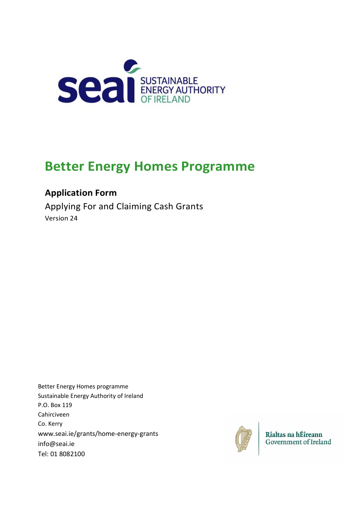

# **Better Energy Homes Programme**

## **Application Form**

Applying For and Claiming Cash Grants Version 24

Better Energy Homes programme Sustainable Energy Authority of Ireland P.O. Box 119 Cahirciveen Co. Kerry [www.seai.ie/grants/home-energy-grants](http://www.seai.ie/grants/home-energy-grants) [info@seai.ie](mailto:info@seai.ie)  Tel: 01 8082100



Rialtas na hÉireann<br>Government of Ireland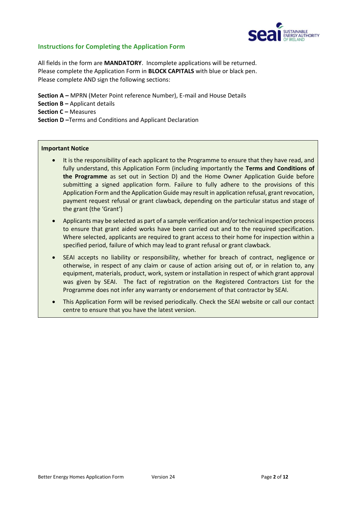

#### **Instructions for Completing the Application Form**

All fields in the form are **MANDATORY**. Incomplete applications will be returned. Please complete the Application Form in **BLOCK CAPITALS** with blue or black pen. Please complete AND sign the following sections:

**Section A –** MPRN (Meter Point reference Number), E-mail and House Details **Section B –** Applicant details **Section C – Measures Section D –**Terms and Conditions and Applicant Declaration

#### **Important Notice**

- It is the responsibility of each applicant to the Programme to ensure that they have read, and fully understand, this Application Form (including importantly the **Terms and Conditions of the Programme** as set out in Section D) and the Home Owner Application Guide before submitting a signed application form. Failure to fully adhere to the provisions of this Application Form and the Application Guide may result in application refusal, grant revocation, payment request refusal or grant clawback, depending on the particular status and stage of the grant (the 'Grant')
- Applicants may be selected as part of a sample verification and/or technical inspection process to ensure that grant aided works have been carried out and to the required specification. Where selected, applicants are required to grant access to their home for inspection within a specified period, failure of which may lead to grant refusal or grant clawback.
- SEAI accepts no liability or responsibility, whether for breach of contract, negligence or otherwise, in respect of any claim or cause of action arising out of, or in relation to, any equipment, materials, product, work, system or installation in respect of which grant approval was given by SEAI. The fact of registration on the Registered Contractors List for the Programme does not infer any warranty or endorsement of that contractor by SEAI.
- This Application Form will be revised periodically. Check the SEAI website or call our contact centre to ensure that you have the latest version.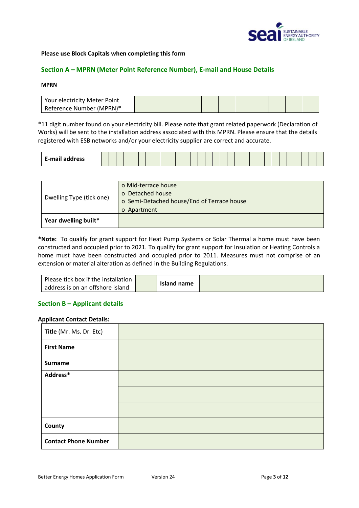

#### **Please use Block Capitals when completing this form**

#### **Section A – MPRN (Meter Point Reference Number), E-mail and House Details**

#### **MPRN**

| Your electricity Meter Point |  |  |  |  |  |  |
|------------------------------|--|--|--|--|--|--|
| Reference Number (MPRN)*     |  |  |  |  |  |  |

\*11 digit number found on your electricity bill. Please note that grant related paperwork (Declaration of Works) will be sent to the installation address associated with this MPRN. Please ensure that the details registered with ESB networks and/or your electricity supplier are correct and accurate.

| <b>E-mail address</b> |
|-----------------------|
|-----------------------|

| Dwelling Type (tick one) | o Mid-terrace house                        |
|--------------------------|--------------------------------------------|
|                          | o Detached house                           |
|                          | o Semi-Detached house/End of Terrace house |
|                          | o Apartment                                |
| Year dwelling built*     |                                            |

**\*Note:** To qualify for grant support for Heat Pump Systems or Solar Thermal a home must have been constructed and occupied prior to 2021. To qualify for grant support for Insulation or Heating Controls a home must have been constructed and occupied prior to 2011. Measures must not comprise of an extension or material alteration as defined in the Building Regulations.

| Please tick box if the installation |             |  |
|-------------------------------------|-------------|--|
| address is on an offshore island    | Island name |  |

#### **Section B – Applicant details**

#### **Applicant Contact Details:**

| Title (Mr. Ms. Dr. Etc)     |  |
|-----------------------------|--|
| <b>First Name</b>           |  |
| <b>Surname</b>              |  |
| Address*                    |  |
|                             |  |
|                             |  |
| County                      |  |
| <b>Contact Phone Number</b> |  |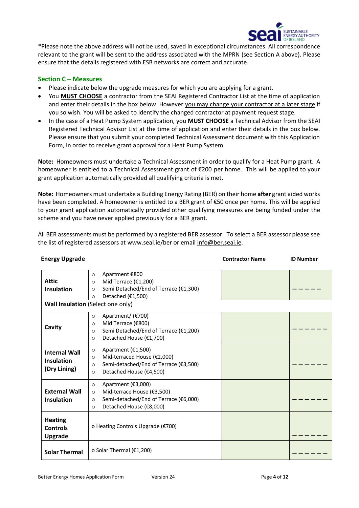

\*Please note the above address will not be used, saved in exceptional circumstances. All correspondence relevant to the grant will be sent to the address associated with the MPRN (see Section A above). Please ensure that the details registered with ESB networks are correct and accurate.

#### **Section C – Measures**

- Please indicate below the upgrade measures for which you are applying for a grant.
- You **MUST CHOOSE** a contractor from the SEAI Registered Contractor List at the time of application and enter their details in the box below. However you may change your contractor at a later stage if you so wish. You will be asked to identify the changed contractor at payment request stage.
- In the case of a Heat Pump System application, you **MUST CHOOSE** a Technical Advisor from the SEAI Registered Technical Advisor List at the time of application and enter their details in the box below. Please ensure that you submit your completed Technical Assessment document with this Application Form, in order to receive grant approval for a Heat Pump System.

**Note:** Homeowners must undertake a Technical Assessment in order to qualify for a Heat Pump grant. A homeowner is entitled to a Technical Assessment grant of €200 per home. This will be applied to your grant application automatically provided all qualifying criteria is met.

**Note:** Homeowners must undertake a Building Energy Rating (BER) on their home **after** grant aided works have been completed. A homeowner is entitled to a BER grant of €50 once per home. This will be applied to your grant application automatically provided other qualifying measures are being funded under the scheme and you have never applied previously for a BER grant.

All BER assessments must be performed by a registered BER assessor. To select a BER assessor please see the list of registered assessors at [www.seai.ie/ber or email](http://www.seai.ie/ber%20or%20email) info@ber.seai.ie.

**Energy Upgrade Contractor Name ID Number Contractor Name** ID Number

| <b>Attic</b><br><b>Insulation</b>                   | Apartment €800<br>$\circ$<br>Mid Terrace (€1,200)<br>$\circ$<br>Semi Detached/End of Terrace (€1,300)<br>$\circ$<br>Detached (€1,500)<br>$\circ$<br>Wall Insulation (Select one only) |  |
|-----------------------------------------------------|---------------------------------------------------------------------------------------------------------------------------------------------------------------------------------------|--|
| Cavity                                              | Apartment/ (€700)<br>$\circ$<br>Mid Terrace (€800)<br>$\circ$<br>Semi Detached/End of Terrace (€1,200)<br>$\circ$<br>Detached House (€1,700)<br>$\circ$                               |  |
| <b>Internal Wall</b><br>Insulation<br>(Dry Lining)  | Apartment (€1,500)<br>$\circ$<br>Mid-terraced House (€2,000)<br>$\circ$<br>Semi-detached/End of Terrace (€3,500)<br>$\circ$<br>Detached House (€4,500)<br>$\circ$                     |  |
| <b>External Wall</b><br><b>Insulation</b>           | Apartment (€3,000)<br>$\circ$<br>Mid-terrace House (€3,500)<br>$\circ$<br>Semi-detached/End of Terrace (€6,000)<br>$\circ$<br>Detached House (€8,000)<br>$\circ$                      |  |
| <b>Heating</b><br><b>Controls</b><br><b>Upgrade</b> | o Heating Controls Upgrade (€700)                                                                                                                                                     |  |
| <b>Solar Thermal</b>                                | o Solar Thermal $(E1, 200)$                                                                                                                                                           |  |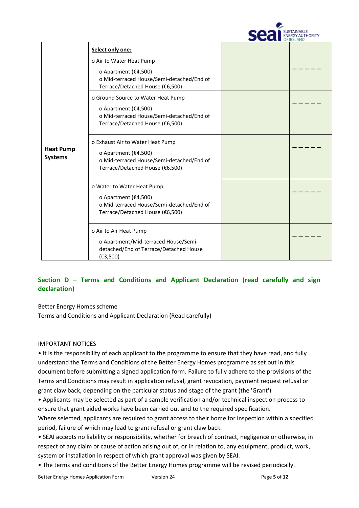

| <b>Heat Pump</b><br><b>Systems</b> | Select only one:<br>o Air to Water Heat Pump<br>o Apartment (€4,500)<br>o Mid-terraced House/Semi-detached/End of<br>Terrace/Detached House (€6,500) |  |
|------------------------------------|------------------------------------------------------------------------------------------------------------------------------------------------------|--|
|                                    | o Ground Source to Water Heat Pump<br>o Apartment ( $£4,500$ )<br>o Mid-terraced House/Semi-detached/End of<br>Terrace/Detached House (€6,500)       |  |
|                                    | o Exhaust Air to Water Heat Pump<br>o Apartment (€4,500)<br>o Mid-terraced House/Semi-detached/End of<br>Terrace/Detached House (€6,500)             |  |
|                                    | o Water to Water Heat Pump<br>o Apartment ( $E$ 4,500)<br>o Mid-terraced House/Semi-detached/End of<br>Terrace/Detached House (€6,500)               |  |
|                                    | o Air to Air Heat Pump<br>o Apartment/Mid-terraced House/Semi-<br>detached/End of Terrace/Detached House<br>(E3,500)                                 |  |

### **Section D – Terms and Conditions and Applicant Declaration (read carefully and sign declaration)**

Better Energy Homes scheme

Terms and Conditions and Applicant Declaration (Read carefully)

#### IMPORTANT NOTICES

• It is the responsibility of each applicant to the programme to ensure that they have read, and fully understand the Terms and Conditions of the Better Energy Homes programme as set out in this document before submitting a signed application form. Failure to fully adhere to the provisions of the Terms and Conditions may result in application refusal, grant revocation, payment request refusal or grant claw back, depending on the particular status and stage of the grant (the 'Grant')

• Applicants may be selected as part of a sample verification and/or technical inspection process to ensure that grant aided works have been carried out and to the required specification.

Where selected, applicants are required to grant access to their home for inspection within a specified period, failure of which may lead to grant refusal or grant claw back.

• SEAI accepts no liability or responsibility, whether for breach of contract, negligence or otherwise, in respect of any claim or cause of action arising out of, or in relation to, any equipment, product, work, system or installation in respect of which grant approval was given by SEAI.

• The terms and conditions of the Better Energy Homes programme will be revised periodically.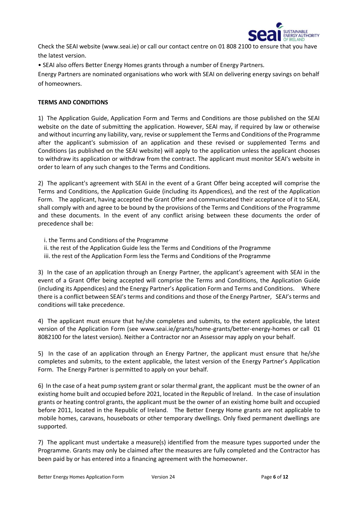

Check the SEAI website (www.seai.ie) or call our contact centre on 01 808 2100 to ensure that you have the latest version.

• SEAI also offers Better Energy Homes grants through a number of Energy Partners.

Energy Partners are nominated organisations who work with SEAI on delivering energy savings on behalf of homeowners.

#### **TERMS AND CONDITIONS**

1) The Application Guide, Application Form and Terms and Conditions are those published on the SEAI website on the date of submitting the application. However, SEAI may, if required by law or otherwise and without incurring any liability, vary, revise or supplement the Terms and Conditions of the Programme after the applicant's submission of an application and these revised or supplemented Terms and Conditions (as published on the SEAI website) will apply to the application unless the applicant chooses to withdraw its application or withdraw from the contract. The applicant must monitor SEAI's website in order to learn of any such changes to the Terms and Conditions.

2) The applicant's agreement with SEAI in the event of a Grant Offer being accepted will comprise the Terms and Conditions, the Application Guide (including its Appendices), and the rest of the Application Form. The applicant, having accepted the Grant Offer and communicated their acceptance of it to SEAI, shall comply with and agree to be bound by the provisions of the Terms and Conditions of the Programme and these documents. In the event of any conflict arising between these documents the order of precedence shall be:

- i. the Terms and Conditions of the Programme
- ii. the rest of the Application Guide less the Terms and Conditions of the Programme
- iii. the rest of the Application Form less the Terms and Conditions of the Programme

3) In the case of an application through an Energy Partner, the applicant's agreement with SEAI in the event of a Grant Offer being accepted will comprise the Terms and Conditions, the Application Guide (including its Appendices) and the Energy Partner's Application Form and Terms and Conditions. Where there is a conflict between SEAI's terms and conditions and those of the Energy Partner, SEAI's terms and conditions will take precedence.

4) The applicant must ensure that he/she completes and submits, to the extent applicable, the latest version of the Application Form (see www.seai.ie/grants/home-grants/better-energy-homes or call 01 8082100 for the latest version). Neither a Contractor nor an Assessor may apply on your behalf.

5) In the case of an application through an Energy Partner, the applicant must ensure that he/she completes and submits, to the extent applicable, the latest version of the Energy Partner's Application Form. The Energy Partner is permitted to apply on your behalf.

6) In the case of a heat pump system grant or solar thermal grant, the applicant must be the owner of an existing home built and occupied before 2021, located in the Republic of Ireland. In the case of insulation grants or heating control grants, the applicant must be the owner of an existing home built and occupied before 2011, located in the Republic of Ireland. The Better Energy Home grants are not applicable to mobile homes, caravans, houseboats or other temporary dwellings. Only fixed permanent dwellings are supported.

7) The applicant must undertake a measure(s) identified from the measure types supported under the Programme. Grants may only be claimed after the measures are fully completed and the Contractor has been paid by or has entered into a financing agreement with the homeowner.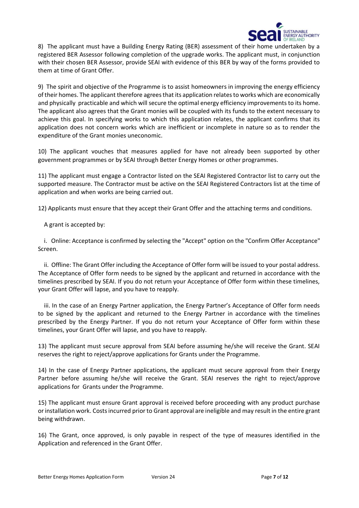

8) The applicant must have a Building Energy Rating (BER) assessment of their home undertaken by a registered BER Assessor following completion of the upgrade works. The applicant must, in conjunction with their chosen BER Assessor, provide SEAI with evidence of this BER by way of the forms provided to them at time of Grant Offer.

9) The spirit and objective of the Programme is to assist homeowners in improving the energy efficiency of their homes. The applicant therefore agrees that its application relates to works which are economically and physically practicable and which will secure the optimal energy efficiency improvements to its home. The applicant also agrees that the Grant monies will be coupled with its funds to the extent necessary to achieve this goal. In specifying works to which this application relates, the applicant confirms that its application does not concern works which are inefficient or incomplete in nature so as to render the expenditure of the Grant monies uneconomic.

10) The applicant vouches that measures applied for have not already been supported by other government programmes or by SEAI through Better Energy Homes or other programmes.

11) The applicant must engage a Contractor listed on the SEAI Registered Contractor list to carry out the supported measure. The Contractor must be active on the SEAI Registered Contractors list at the time of application and when works are being carried out.

12) Applicants must ensure that they accept their Grant Offer and the attaching terms and conditions.

A grant is accepted by:

 i. Online: Acceptance is confirmed by selecting the "Accept" option on the "Confirm Offer Acceptance" Screen.

 ii. Offline: The Grant Offer including the Acceptance of Offer form will be issued to your postal address. The Acceptance of Offer form needs to be signed by the applicant and returned in accordance with the timelines prescribed by SEAI. If you do not return your Acceptance of Offer form within these timelines, your Grant Offer will lapse, and you have to reapply.

 iii. In the case of an Energy Partner application, the Energy Partner's Acceptance of Offer form needs to be signed by the applicant and returned to the Energy Partner in accordance with the timelines prescribed by the Energy Partner. If you do not return your Acceptance of Offer form within these timelines, your Grant Offer will lapse, and you have to reapply.

13) The applicant must secure approval from SEAI before assuming he/she will receive the Grant. SEAI reserves the right to reject/approve applications for Grants under the Programme.

14) In the case of Energy Partner applications, the applicant must secure approval from their Energy Partner before assuming he/she will receive the Grant. SEAI reserves the right to reject/approve applications for Grants under the Programme.

15) The applicant must ensure Grant approval is received before proceeding with any product purchase or installation work. Costs incurred prior to Grant approval are ineligible and may result in the entire grant being withdrawn.

16) The Grant, once approved, is only payable in respect of the type of measures identified in the Application and referenced in the Grant Offer.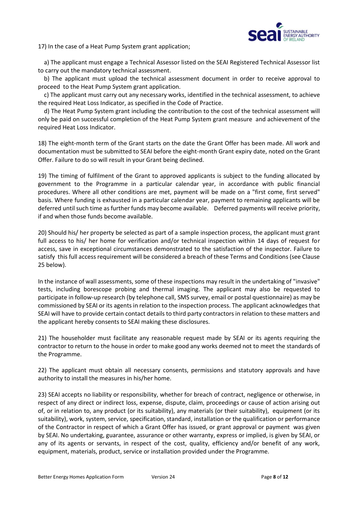

17) In the case of a Heat Pump System grant application;

 a) The applicant must engage a Technical Assessor listed on the SEAI Registered Technical Assessor list to carry out the mandatory technical assessment.

 b) The applicant must upload the technical assessment document in order to receive approval to proceed to the Heat Pump System grant application.

 c) The applicant must carry out any necessary works, identified in the technical assessment, to achieve the required Heat Loss Indicator, as specified in the Code of Practice.

 d) The Heat Pump System grant including the contribution to the cost of the technical assessment will only be paid on successful completion of the Heat Pump System grant measure and achievement of the required Heat Loss Indicator.

18) The eight-month term of the Grant starts on the date the Grant Offer has been made. All work and documentation must be submitted to SEAI before the eight-month Grant expiry date, noted on the Grant Offer. Failure to do so will result in your Grant being declined.

19) The timing of fulfilment of the Grant to approved applicants is subject to the funding allocated by government to the Programme in a particular calendar year, in accordance with public financial procedures. Where all other conditions are met, payment will be made on a "first come, first served" basis. Where funding is exhausted in a particular calendar year, payment to remaining applicants will be deferred until such time as further funds may become available. Deferred payments will receive priority, if and when those funds become available.

20) Should his/ her property be selected as part of a sample inspection process, the applicant must grant full access to his/ her home for verification and/or technical inspection within 14 days of request for access, save in exceptional circumstances demonstrated to the satisfaction of the inspector. Failure to satisfy this full access requirement will be considered a breach of these Terms and Conditions (see Clause 25 below).

In the instance of wall assessments, some of these inspections may result in the undertaking of "invasive" tests, including borescope probing and thermal imaging. The applicant may also be requested to participate in follow-up research (by telephone call, SMS survey, email or postal questionnaire) as may be commissioned by SEAI or its agents in relation to the inspection process. The applicant acknowledges that SEAI will have to provide certain contact details to third party contractors in relation to these matters and the applicant hereby consents to SEAI making these disclosures.

21) The householder must facilitate any reasonable request made by SEAI or its agents requiring the contractor to return to the house in order to make good any works deemed not to meet the standards of the Programme.

22) The applicant must obtain all necessary consents, permissions and statutory approvals and have authority to install the measures in his/her home.

23) SEAI accepts no liability or responsibility, whether for breach of contract, negligence or otherwise, in respect of any direct or indirect loss, expense, dispute, claim, proceedings or cause of action arising out of, or in relation to, any product (or its suitability), any materials (or their suitability), equipment (or its suitability), work, system, service, specification, standard, installation or the qualification or performance of the Contractor in respect of which a Grant Offer has issued, or grant approval or payment was given by SEAI. No undertaking, guarantee, assurance or other warranty, express or implied, is given by SEAI, or any of its agents or servants, in respect of the cost, quality, efficiency and/or benefit of any work, equipment, materials, product, service or installation provided under the Programme.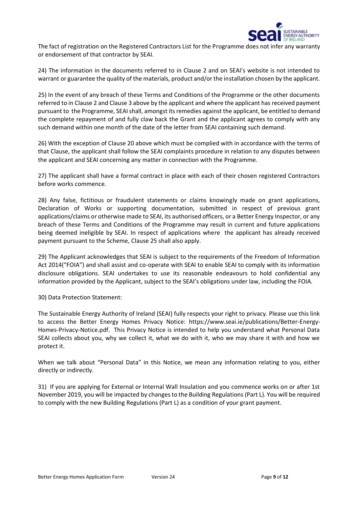

The fact of registration on the Registered Contractors List for the Programme does not infer any warranty or endorsement of that contractor by SEAI.

24) The information in the documents referred to in Clause 2 and on SEAI's website is not intended to warrant or guarantee the quality of the materials, product and/or the installation chosen by the applicant.

25) In the event of any breach of these Terms and Conditions of the Programme or the other documents referred to in Clause 2 and Clause 3 above by the applicant and where the applicant has received payment pursuant to the Programme, SEAI shall, amongst its remedies against the applicant, be entitled to demand the complete repayment of and fully claw back the Grant and the applicant agrees to comply with any such demand within one month of the date of the letter from SEAI containing such demand.

26) With the exception of Clause 20 above which must be complied with in accordance with the terms of that Clause, the applicant shall follow the SEAI complaints procedure in relation to any disputes between the applicant and SEAI concerning any matter in connection with the Programme.

27) The applicant shall have a formal contract in place with each of their chosen registered Contractors before works commence.

28) Any false, fictitious or fraudulent statements or claims knowingly made on grant applications, Declaration of Works or supporting documentation, submitted in respect of previous grant applications/claims or otherwise made to SEAI, its authorised officers, or a Better Energy Inspector, or any breach of these Terms and Conditions of the Programme may result in current and future applications being deemed ineligible by SEAI. In respect of applications where the applicant has already received payment pursuant to the Scheme, Clause 25 shall also apply.

29) The Applicant acknowledges that SEAI is subject to the requirements of the Freedom of Information Act 2014("FOIA") and shall assist and co-operate with SEAI to enable SEAI to comply with its information disclosure obligations. SEAI undertakes to use its reasonable endeavours to hold confidential any information provided by the Applicant, subject to the SEAI's obligations under law, including the FOIA.

30) Data Protection Statement:

The Sustainable Energy Authority of Ireland (SEAI) fully respects your right to privacy. Please use this link to access the Better Energy Homes Privacy Notice: [https://www.seai.ie/publications/Better-Energy-](https://www.seai.ie/publications/Better-Energy-Homes-Privacy-Notice.pdf)[Homes-Privacy-Notice.pdf.](https://www.seai.ie/publications/Better-Energy-Homes-Privacy-Notice.pdf) This Privacy Notice is intended to help you understand what Personal Data SEAI collects about you, why we collect it, what we do with it, who we may share it with and how we protect it.

When we talk about "Personal Data" in this Notice, we mean any information relating to you, either directly or indirectly.

31) If you are applying for External or Internal Wall Insulation and you commence works on or after 1st November 2019, you will be impacted by changes to the Building Regulations (Part L). You will be required to comply with the new Building Regulations (Part L) as a condition of your grant payment.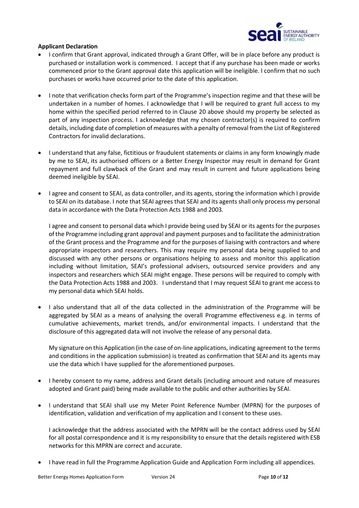

#### **Applicant Declaration**

- I confirm that Grant approval, indicated through a Grant Offer, will be in place before any product is purchased or installation work is commenced. I accept that if any purchase has been made or works commenced prior to the Grant approval date this application will be ineligible. I confirm that no such purchases or works have occurred prior to the date of this application.
- I note that verification checks form part of the Programme's inspection regime and that these will be undertaken in a number of homes. I acknowledge that I will be required to grant full access to my home within the specified period referred to in Clause 20 above should my property be selected as part of any inspection process. I acknowledge that my chosen contractor(s) is required to confirm details, including date of completion of measures with a penalty of removal from the List of Registered Contractors for invalid declarations.
- I understand that any false, fictitious or fraudulent statements or claims in any form knowingly made by me to SEAI, its authorised officers or a Better Energy Inspector may result in demand for Grant repayment and full clawback of the Grant and may result in current and future applications being deemed ineligible by SEAI.
- I agree and consent to SEAI, as data controller, and its agents, storing the information which I provide to SEAI on its database. I note that SEAI agrees that SEAI and its agents shall only process my personal data in accordance with the Data Protection Acts 1988 and 2003.

I agree and consent to personal data which I provide being used by SEAI or its agents for the purposes of the Programme including grant approval and payment purposes and to facilitate the administration of the Grant process and the Programme and for the purposes of liaising with contractors and where appropriate inspectors and researchers. This may require my personal data being supplied to and discussed with any other persons or organisations helping to assess and monitor this application including without limitation, SEAI's professional advisers, outsourced service providers and any inspectors and researchers which SEAI might engage. These persons will be required to comply with the Data Protection Acts 1988 and 2003. I understand that I may request SEAI to grant me access to my personal data which SEAI holds.

• I also understand that all of the data collected in the administration of the Programme will be aggregated by SEAI as a means of analysing the overall Programme effectiveness e.g. in terms of cumulative achievements, market trends, and/or environmental impacts. I understand that the disclosure of this aggregated data will not involve the release of any personal data.

My signature on this Application (in the case of on-line applications, indicating agreement to the terms and conditions in the application submission) is treated as confirmation that SEAI and its agents may use the data which I have supplied for the aforementioned purposes.

- I hereby consent to my name, address and Grant details (including amount and nature of measures adopted and Grant paid) being made available to the public and other authorities by SEAI.
- I understand that SEAI shall use my Meter Point Reference Number (MPRN) for the purposes of identification, validation and verification of my application and I consent to these uses.

I acknowledge that the address associated with the MPRN will be the contact address used by SEAI for all postal correspondence and it is my responsibility to ensure that the details registered with ESB networks for this MPRN are correct and accurate.

• I have read in full the Programme Application Guide and Application Form including all appendices.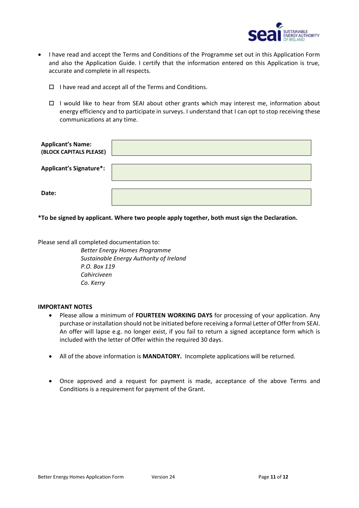

- I have read and accept the Terms and Conditions of the Programme set out in this Application Form and also the Application Guide. I certify that the information entered on this Application is true, accurate and complete in all respects.
	- $\Box$  I have read and accept all of the Terms and Conditions.
	- $\Box$  I would like to hear from SEAI about other grants which may interest me, information about energy efficiency and to participate in surveys. I understand that I can opt to stop receiving these communications at any time.

| <b>Applicant's Name:</b><br>(BLOCK CAPITALS PLEASE) |  |
|-----------------------------------------------------|--|
| <b>Applicant's Signature*:</b>                      |  |
| Date:                                               |  |

**\*To be signed by applicant. Where two people apply together, both must sign the Declaration.**

Please send all completed documentation to:

*Better Energy Homes Programme Sustainable Energy Authority of Ireland P.O. Box 119 Cahirciveen Co. Kerry*

#### **IMPORTANT NOTES**

- Please allow a minimum of **FOURTEEN WORKING DAYS** for processing of your application. Any purchase or installation should not be initiated before receiving a formal Letter of Offer from SEAI. An offer will lapse e.g. no longer exist, if you fail to return a signed acceptance form which is included with the letter of Offer within the required 30 days.
- All of the above information is **MANDATORY.** Incomplete applications will be returned.
- Once approved and a request for payment is made, acceptance of the above Terms and Conditions is a requirement for payment of the Grant.